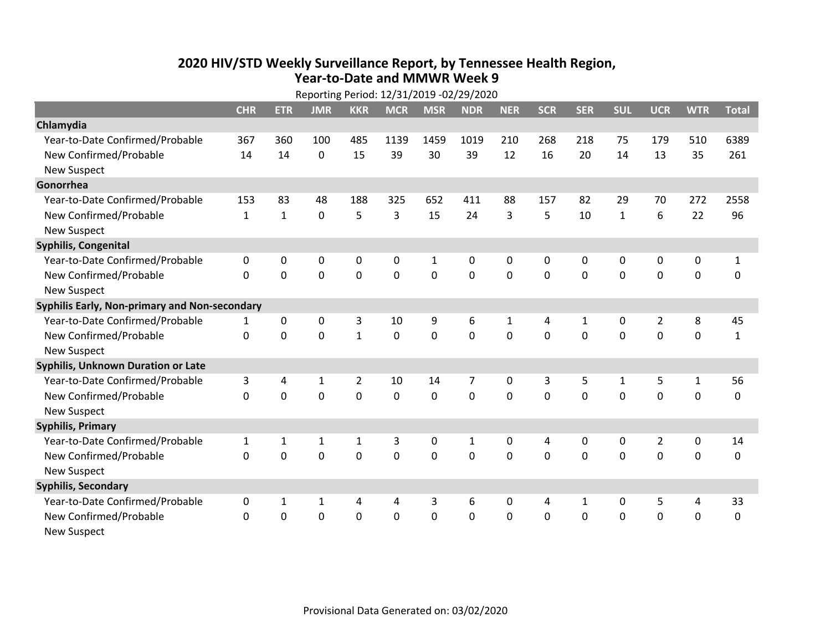## **2020 HIV /STD Weekly Surveillance Report, by Tennessee Health Region, Year‐to‐Date and MMWR Week 9**

|                                               | Reporting Period: 12/31/2019 -02/29/2020 |              |              |                |             |              |             |              |             |              |              |                |              |              |
|-----------------------------------------------|------------------------------------------|--------------|--------------|----------------|-------------|--------------|-------------|--------------|-------------|--------------|--------------|----------------|--------------|--------------|
|                                               | <b>CHR</b>                               | <b>ETR</b>   | <b>JMR</b>   | <b>KKR</b>     | <b>MCR</b>  | <b>MSR</b>   | <b>NDR</b>  | <b>NER</b>   | <b>SCR</b>  | <b>SER</b>   | <b>SUL</b>   | <b>UCR</b>     | <b>WTR</b>   | <b>Total</b> |
| Chlamydia                                     |                                          |              |              |                |             |              |             |              |             |              |              |                |              |              |
| Year-to-Date Confirmed/Probable               | 367                                      | 360          | 100          | 485            | 1139        | 1459         | 1019        | 210          | 268         | 218          | 75           | 179            | 510          | 6389         |
| New Confirmed/Probable                        | 14                                       | 14           | $\Omega$     | 15             | 39          | 30           | 39          | 12           | 16          | 20           | 14           | 13             | 35           | 261          |
| <b>New Suspect</b>                            |                                          |              |              |                |             |              |             |              |             |              |              |                |              |              |
| Gonorrhea                                     |                                          |              |              |                |             |              |             |              |             |              |              |                |              |              |
| Year-to-Date Confirmed/Probable               | 153                                      | 83           | 48           | 188            | 325         | 652          | 411         | 88           | 157         | 82           | 29           | 70             | 272          | 2558         |
| New Confirmed/Probable                        | $\mathbf{1}$                             | $\mathbf{1}$ | 0            | 5              | 3           | 15           | 24          | 3            | 5           | 10           | $\mathbf{1}$ | 6              | 22           | 96           |
| <b>New Suspect</b>                            |                                          |              |              |                |             |              |             |              |             |              |              |                |              |              |
| <b>Syphilis, Congenital</b>                   |                                          |              |              |                |             |              |             |              |             |              |              |                |              |              |
| Year-to-Date Confirmed/Probable               | 0                                        | 0            | 0            | 0              | 0           | $\mathbf{1}$ | 0           | $\mathbf 0$  | 0           | $\mathbf 0$  | 0            | 0              | $\pmb{0}$    | $\mathbf{1}$ |
| New Confirmed/Probable                        | $\Omega$                                 | $\mathbf 0$  | $\mathbf 0$  | 0              | 0           | $\mathbf 0$  | $\mathbf 0$ | 0            | 0           | $\mathbf 0$  | 0            | 0              | $\mathbf 0$  | 0            |
| <b>New Suspect</b>                            |                                          |              |              |                |             |              |             |              |             |              |              |                |              |              |
| Syphilis Early, Non-primary and Non-secondary |                                          |              |              |                |             |              |             |              |             |              |              |                |              |              |
| Year-to-Date Confirmed/Probable               | 1                                        | 0            | 0            | 3              | 10          | 9            | 6           | $\mathbf{1}$ | 4           | 1            | 0            | $\overline{2}$ | 8            | 45           |
| New Confirmed/Probable                        | 0                                        | $\mathbf 0$  | $\mathbf 0$  | $\mathbf 1$    | $\mathbf 0$ | $\mathbf 0$  | 0           | $\mathbf 0$  | $\mathbf 0$ | $\mathbf 0$  | $\mathbf 0$  | $\mathbf 0$    | $\mathbf 0$  | $\mathbf{1}$ |
| <b>New Suspect</b>                            |                                          |              |              |                |             |              |             |              |             |              |              |                |              |              |
| Syphilis, Unknown Duration or Late            |                                          |              |              |                |             |              |             |              |             |              |              |                |              |              |
| Year-to-Date Confirmed/Probable               | 3                                        | 4            | 1            | $\overline{2}$ | 10          | 14           | 7           | 0            | 3           | 5            | $\mathbf{1}$ | 5              | $\mathbf{1}$ | 56           |
| New Confirmed/Probable                        | $\Omega$                                 | $\mathbf 0$  | $\mathbf 0$  | 0              | $\mathbf 0$ | $\mathbf 0$  | $\mathbf 0$ | $\Omega$     | $\Omega$    | $\mathbf{0}$ | $\mathbf 0$  | $\Omega$       | $\mathbf 0$  | 0            |
| <b>New Suspect</b>                            |                                          |              |              |                |             |              |             |              |             |              |              |                |              |              |
| <b>Syphilis, Primary</b>                      |                                          |              |              |                |             |              |             |              |             |              |              |                |              |              |
| Year-to-Date Confirmed/Probable               | $\mathbf{1}$                             | $\mathbf{1}$ | $\mathbf{1}$ | $\mathbf 1$    | 3           | 0            | 1           | 0            | 4           | $\mathbf 0$  | 0            | $\overline{2}$ | $\pmb{0}$    | 14           |
| New Confirmed/Probable                        | $\Omega$                                 | $\mathbf 0$  | 0            | 0              | 0           | 0            | 0           | $\Omega$     | $\Omega$    | $\mathbf 0$  | 0            | 0              | $\mathbf 0$  | 0            |
| <b>New Suspect</b>                            |                                          |              |              |                |             |              |             |              |             |              |              |                |              |              |
| <b>Syphilis, Secondary</b>                    |                                          |              |              |                |             |              |             |              |             |              |              |                |              |              |
| Year-to-Date Confirmed/Probable               | 0                                        | $\mathbf{1}$ | $\mathbf{1}$ | 4              | 4           | 3            | 6           | $\mathbf{0}$ | 4           | $\mathbf{1}$ | 0            | 5              | 4            | 33           |
| New Confirmed/Probable                        | $\Omega$                                 | $\mathbf 0$  | 0            | 0              | $\mathbf 0$ | $\mathbf 0$  | 0           | 0            | 0           | $\mathbf 0$  | 0            | 0              | $\mathbf 0$  | 0            |
| <b>New Suspect</b>                            |                                          |              |              |                |             |              |             |              |             |              |              |                |              |              |